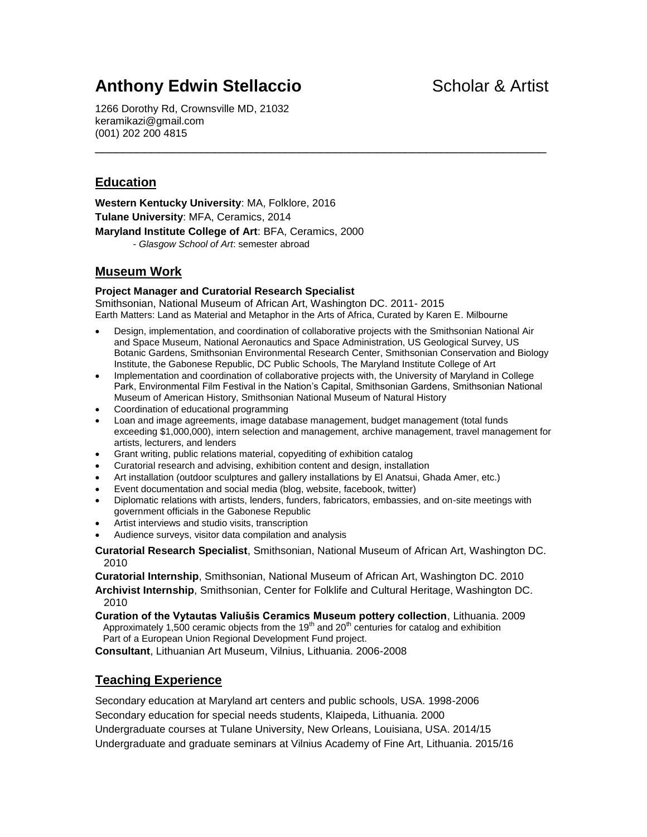# **Anthony Edwin Stellaccio Scholar & Artist**

1266 Dorothy Rd, Crownsville MD, 21032 keramikazi@gmail.com (001) 202 200 4815

### **Education**

**Western Kentucky University**: MA, Folklore, 2016 **Tulane University**: MFA, Ceramics, 2014 **Maryland Institute College of Art**: BFA, Ceramics, 2000 - *Glasgow School of Art*: semester abroad

### **Museum Work**

#### **Project Manager and Curatorial Research Specialist**

Smithsonian, National Museum of African Art, Washington DC. 2011- 2015 Earth Matters: Land as Material and Metaphor in the Arts of Africa, Curated by Karen E. Milbourne

 Design, implementation, and coordination of collaborative projects with the Smithsonian National Air and Space Museum, National Aeronautics and Space Administration, US Geological Survey, US Botanic Gardens, Smithsonian Environmental Research Center, Smithsonian Conservation and Biology Institute, the Gabonese Republic, DC Public Schools, The Maryland Institute College of Art

\_\_\_\_\_\_\_\_\_\_\_\_\_\_\_\_\_\_\_\_\_\_\_\_\_\_\_\_\_\_\_\_\_\_\_\_\_\_\_\_\_\_\_\_\_\_\_\_\_\_\_\_\_\_\_\_\_\_\_\_\_\_\_\_

- Implementation and coordination of collaborative projects with, the University of Maryland in College Park, Environmental Film Festival in the Nation's Capital, Smithsonian Gardens, Smithsonian National Museum of American History, Smithsonian National Museum of Natural History
- Coordination of educational programming
- Loan and image agreements, image database management, budget management (total funds exceeding \$1,000,000), intern selection and management, archive management, travel management for artists, lecturers, and lenders
- Grant writing, public relations material, copyediting of exhibition catalog
- Curatorial research and advising, exhibition content and design, installation
- Art installation (outdoor sculptures and gallery installations by El Anatsui, Ghada Amer, etc.)
- Event documentation and social media (blog, website, facebook, twitter)
- Diplomatic relations with artists, lenders, funders, fabricators, embassies, and on-site meetings with government officials in the Gabonese Republic
- Artist interviews and studio visits, transcription
- Audience surveys, visitor data compilation and analysis

**Curatorial Research Specialist**, Smithsonian, National Museum of African Art, Washington DC. 2010

**Curatorial Internship**, Smithsonian, National Museum of African Art, Washington DC. 2010

**Archivist Internship**, Smithsonian, Center for Folklife and Cultural Heritage, Washington DC. 2010

**Curation of the Vytautas Valiušis Ceramics Museum pottery collection**, Lithuania. 2009 Approximately 1,500 ceramic objects from the 19<sup>th</sup> and 20<sup>th</sup> centuries for catalog and exhibition Part of a European Union Regional Development Fund project.

**Consultant**, Lithuanian Art Museum, Vilnius, Lithuania. 2006-2008

### **Teaching Experience**

Secondary education at Maryland art centers and public schools, USA. 1998-2006 Secondary education for special needs students, Klaipeda, Lithuania. 2000 Undergraduate courses at Tulane University, New Orleans, Louisiana, USA. 2014/15 Undergraduate and graduate seminars at Vilnius Academy of Fine Art, Lithuania. 2015/16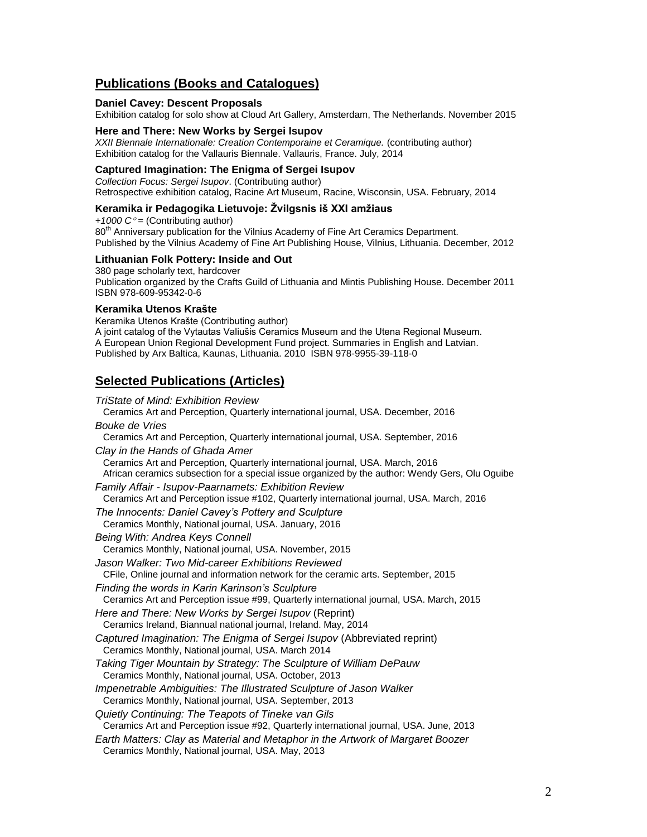### **Publications (Books and Catalogues)**

#### **Daniel Cavey: Descent Proposals**

Exhibition catalog for solo show at Cloud Art Gallery, Amsterdam, The Netherlands. November 2015

#### **Here and There: New Works by Sergei Isupov**

*XXII Biennale Internationale: Creation Contemporaine et Ceramique.* (contributing author) Exhibition catalog for the Vallauris Biennale. Vallauris, France. July, 2014

#### **Captured Imagination: The Enigma of Sergei Isupov**

*Collection Focus: Sergei Isupov*. (Contributing author) Retrospective exhibition catalog, Racine Art Museum, Racine, Wisconsin, USA. February, 2014

#### **Keramika ir Pedagogika Lietuvoje: Žvilgsnis iš XXI amžiaus**

*+1000 C =* (Contributing author) 80<sup>th</sup> Anniversary publication for the Vilnius Academy of Fine Art Ceramics Department. Published by the Vilnius Academy of Fine Art Publishing House, Vilnius, Lithuania. December, 2012

#### **Lithuanian Folk Pottery: Inside and Out**

380 page scholarly text, hardcover Publication organized by the Crafts Guild of Lithuania and Mintis Publishing House. December 2011 ISBN 978-609-95342-0-6

#### **Keramika Utenos Krašte**

Keramika Utenos Krašte (Contributing author) A joint catalog of the Vytautas Valiušis Ceramics Museum and the Utena Regional Museum. A European Union Regional Development Fund project. Summaries in English and Latvian. Published by Arx Baltica, Kaunas, Lithuania. 2010 ISBN 978-9955-39-118-0

#### **Selected Publications (Articles)**

#### *TriState of Mind: Exhibition Review* Ceramics Art and Perception, Quarterly international journal, USA. December, 2016 *Bouke de Vries* Ceramics Art and Perception, Quarterly international journal, USA. September, 2016 *Clay in the Hands of Ghada Amer*  Ceramics Art and Perception, Quarterly international journal, USA. March, 2016 African ceramics subsection for a special issue organized by the author: Wendy Gers, Olu Oguibe *Family Affair - Isupov-Paarnamets: Exhibition Review* Ceramics Art and Perception issue #102, Quarterly international journal, USA. March, 2016 *The Innocents: Daniel Cavey's Pottery and Sculpture* Ceramics Monthly, National journal, USA. January, 2016 *Being With: Andrea Keys Connell* Ceramics Monthly, National journal, USA. November, 2015 *Jason Walker: Two Mid-career Exhibitions Reviewed* CFile, Online journal and information network for the ceramic arts. September, 2015 *Finding the words in Karin Karinson's Sculpture* Ceramics Art and Perception issue #99, Quarterly international journal, USA. March, 2015 *Here and There: New Works by Sergei Isupov* (Reprint) Ceramics Ireland, Biannual national journal, Ireland. May, 2014 *Captured Imagination: The Enigma of Sergei Isupov* (Abbreviated reprint) Ceramics Monthly, National journal, USA. March 2014 *Taking Tiger Mountain by Strategy: The Sculpture of William DePauw*  Ceramics Monthly, National journal, USA. October, 2013 *Impenetrable Ambiguities: The Illustrated Sculpture of Jason Walker* Ceramics Monthly, National journal, USA. September, 2013 *Quietly Continuing: The Teapots of Tineke van Gils* Ceramics Art and Perception issue #92, Quarterly international journal, USA. June, 2013 *Earth Matters: Clay as Material and Metaphor in the Artwork of Margaret Boozer*

Ceramics Monthly, National journal, USA. May, 2013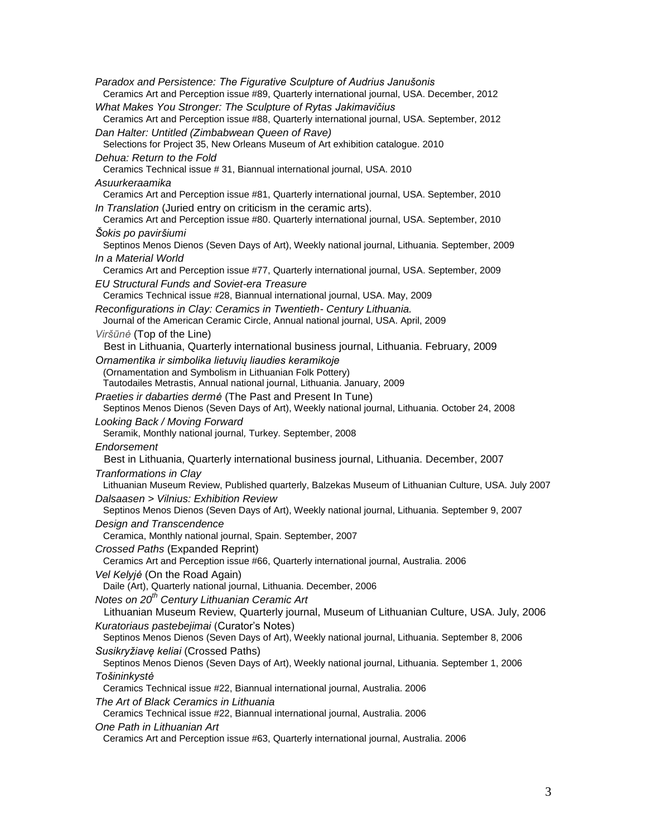| Paradox and Persistence: The Figurative Sculpture of Audrius Janušonis<br>Ceramics Art and Perception issue #89, Quarterly international journal, USA. December, 2012                                                                                           |
|-----------------------------------------------------------------------------------------------------------------------------------------------------------------------------------------------------------------------------------------------------------------|
| What Makes You Stronger: The Sculpture of Rytas Jakimavičius<br>Ceramics Art and Perception issue #88, Quarterly international journal, USA. September, 2012                                                                                                    |
| Dan Halter: Untitled (Zimbabwean Queen of Rave)<br>Selections for Project 35, New Orleans Museum of Art exhibition catalogue. 2010                                                                                                                              |
| Dehua: Return to the Fold<br>Ceramics Technical issue #31, Biannual international journal, USA. 2010                                                                                                                                                            |
| Asuurkeraamika                                                                                                                                                                                                                                                  |
| Ceramics Art and Perception issue #81, Quarterly international journal, USA. September, 2010<br>In Translation (Juried entry on criticism in the ceramic arts).<br>Ceramics Art and Perception issue #80. Quarterly international journal, USA. September, 2010 |
| Šokis po paviršiumi<br>Septinos Menos Dienos (Seven Days of Art), Weekly national journal, Lithuania. September, 2009                                                                                                                                           |
| In a Material World<br>Ceramics Art and Perception issue #77, Quarterly international journal, USA. September, 2009                                                                                                                                             |
| <b>EU Structural Funds and Soviet-era Treasure</b><br>Ceramics Technical issue #28, Biannual international journal, USA. May, 2009                                                                                                                              |
| Reconfigurations in Clay: Ceramics in Twentieth- Century Lithuania.<br>Journal of the American Ceramic Circle, Annual national journal, USA. April, 2009                                                                                                        |
| Viršūnė (Top of the Line)<br>Best in Lithuania, Quarterly international business journal, Lithuania. February, 2009                                                                                                                                             |
| Ornamentika ir simbolika lietuvių liaudies keramikoje<br>(Ornamentation and Symbolism in Lithuanian Folk Pottery)<br>Tautodailes Metrastis, Annual national journal, Lithuania. January, 2009                                                                   |
| Praeties ir dabarties dermé (The Past and Present In Tune)<br>Septinos Menos Dienos (Seven Days of Art), Weekly national journal, Lithuania. October 24, 2008                                                                                                   |
| Looking Back / Moving Forward<br>Seramik, Monthly national journal, Turkey. September, 2008                                                                                                                                                                     |
| Endorsement                                                                                                                                                                                                                                                     |
| Best in Lithuania, Quarterly international business journal, Lithuania. December, 2007                                                                                                                                                                          |
| Tranformations in Clay<br>Lithuanian Museum Review, Published quarterly, Balzekas Museum of Lithuanian Culture, USA. July 2007                                                                                                                                  |
| Dalsaasen > Vilnius: Exhibition Review<br>Septinos Menos Dienos (Seven Days of Art), Weekly national journal, Lithuania. September 9, 2007<br>Design and Transcendence                                                                                          |
| Ceramica, Monthly national journal, Spain. September, 2007<br>Crossed Paths (Expanded Reprint)                                                                                                                                                                  |
| Ceramics Art and Perception issue #66, Quarterly international journal, Australia. 2006                                                                                                                                                                         |
| Vel Kelyjé (On the Road Again)<br>Daile (Art), Quarterly national journal, Lithuania. December, 2006                                                                                                                                                            |
| Notes on 20 <sup>th</sup> Century Lithuanian Ceramic Art<br>Lithuanian Museum Review, Quarterly journal, Museum of Lithuanian Culture, USA. July, 2006                                                                                                          |
| Kuratoriaus pastebejimai (Curator's Notes)<br>Septinos Menos Dienos (Seven Days of Art), Weekly national journal, Lithuania. September 8, 2006                                                                                                                  |
| Susikryžiavę keliai (Crossed Paths)<br>Septinos Menos Dienos (Seven Days of Art), Weekly national journal, Lithuania. September 1, 2006                                                                                                                         |
| Tošininkystė                                                                                                                                                                                                                                                    |
| Ceramics Technical issue #22, Biannual international journal, Australia. 2006<br>The Art of Black Ceramics in Lithuania<br>Ceramics Technical issue #22, Biannual international journal, Australia. 2006                                                        |
| One Path in Lithuanian Art<br>Ceramics Art and Perception issue #63, Quarterly international journal, Australia. 2006                                                                                                                                           |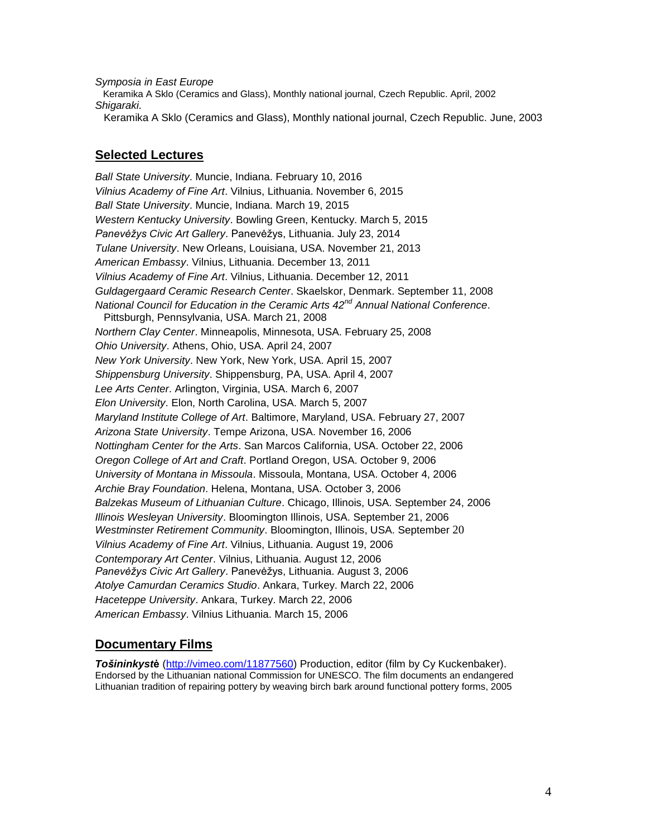*Symposia in East Europe*

 Keramika A Sklo (Ceramics and Glass), Monthly national journal, Czech Republic. April, 2002 *Shigaraki.*

Keramika A Sklo (Ceramics and Glass), Monthly national journal, Czech Republic. June, 2003

#### **Selected Lectures**

*Ball State University*. Muncie, Indiana. February 10, 2016 *Vilnius Academy of Fine Art*. Vilnius, Lithuania. November 6, 2015 *Ball State University*. Muncie, Indiana. March 19, 2015 *Western Kentucky University*. Bowling Green, Kentucky. March 5, 2015 *Panevėžys Civic Art Gallery*. Panevėžys, Lithuania. July 23, 2014 *Tulane University*. New Orleans, Louisiana, USA. November 21, 2013 *American Embassy*. Vilnius, Lithuania. December 13, 2011 *Vilnius Academy of Fine Art*. Vilnius, Lithuania. December 12, 2011 *Guldagergaard Ceramic Research Center*. Skaelskor, Denmark. September 11, 2008 *National Council for Education in the Ceramic Arts 42nd Annual National Conference*. Pittsburgh, Pennsylvania, USA. March 21, 2008 *Northern Clay Center*. Minneapolis, Minnesota, USA. February 25, 2008 *Ohio University*. Athens, Ohio, USA. April 24, 2007 *New York University*. New York, New York, USA. April 15, 2007 *Shippensburg University*. Shippensburg, PA, USA. April 4, 2007 *Lee Arts Center*. Arlington, Virginia, USA. March 6, 2007 *Elon University*. Elon, North Carolina, USA. March 5, 2007 *Maryland Institute College of Art*. Baltimore, Maryland, USA. February 27, 2007 *Arizona State University*. Tempe Arizona, USA. November 16, 2006 *Nottingham Center for the Arts*. San Marcos California, USA. October 22, 2006 *Oregon College of Art and Craft*. Portland Oregon, USA. October 9, 2006 *University of Montana in Missoula*. Missoula, Montana, USA. October 4, 2006 *Archie Bray Foundation*. Helena, Montana, USA. October 3, 2006 *Balzekas Museum of Lithuanian Culture*. Chicago, Illinois, USA. September 24, 2006 *Illinois Wesleyan University*. Bloomington Illinois, USA. September 21, 2006 *Westminster Retirement Community*. Bloomington, Illinois, USA. September 20 *Vilnius Academy of Fine Art*. Vilnius, Lithuania. August 19, 2006 *Contemporary Art Center*. Vilnius, Lithuania. August 12, 2006 *Panevėžys Civic Art Gallery*. Panevėžys, Lithuania. August 3, 2006 *Atolye Camurdan Ceramics Studio*. Ankara, Turkey. March 22, 2006 *Haceteppe University*. Ankara, Turkey. March 22, 2006 *American Embassy*. Vilnius Lithuania. March 15, 2006

### **Documentary Films**

*Tošininkyst***ė** [\(http://vimeo.com/11877560\)](http://vimeo.com/11877560) Production, editor (film by Cy Kuckenbaker). Endorsed by the Lithuanian national Commission for UNESCO. The film documents an endangered Lithuanian tradition of repairing pottery by weaving birch bark around functional pottery forms, 2005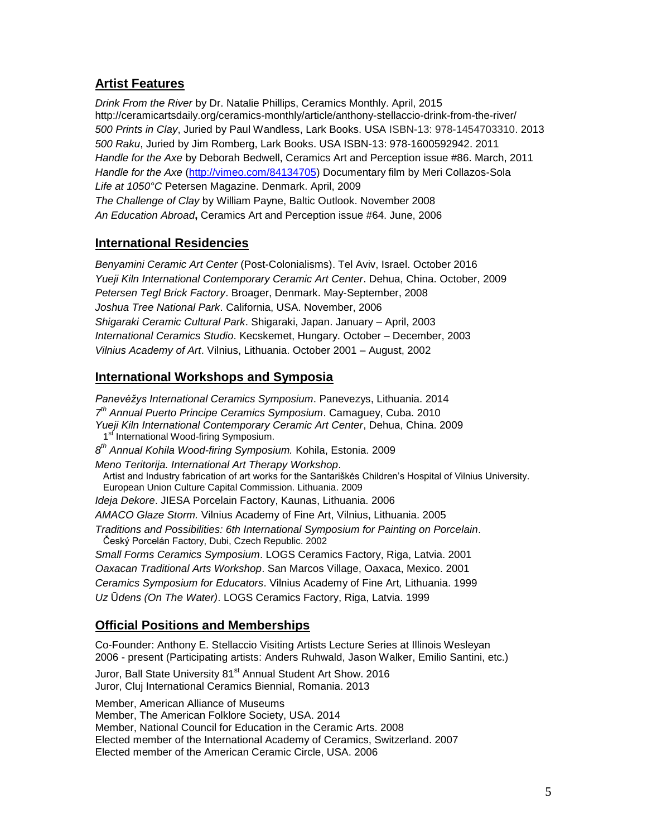### **Artist Features**

*Drink From the River* by Dr. Natalie Phillips, Ceramics Monthly. April, 2015 http://ceramicartsdaily.org/ceramics-monthly/article/anthony-stellaccio-drink-from-the-river/ *500 Prints in Clay*, Juried by Paul Wandless, Lark Books. USA ISBN-13: 978-1454703310. 2013 *500 Raku*, Juried by Jim Romberg, Lark Books. USA ISBN-13: 978-1600592942. 2011 *Handle for the Axe* by Deborah Bedwell, Ceramics Art and Perception issue #86. March, 2011 *Handle for the Axe* [\(http://vimeo.com/84134705\)](http://vimeo.com/84134705) Documentary film by Meri Collazos-Sola *Life at 1050°C* Petersen Magazine. Denmark. April, 2009 *The Challenge of Clay* by William Payne, Baltic Outlook. November 2008 *An Education Abroad***,** Ceramics Art and Perception issue #64. June, 2006

### **International Residencies**

*Benyamini Ceramic Art Center* (Post-Colonialisms). Tel Aviv, Israel. October 2016 *Yueji Kiln International Contemporary Ceramic Art Center*. Dehua, China. October, 2009 *Petersen Tegl Brick Factory*. Broager, Denmark. May-September, 2008 *Joshua Tree National Park*. California, USA. November, 2006 *Shigaraki Ceramic Cultural Park*. Shigaraki, Japan. January – April, 2003 *International Ceramics Studio*. Kecskemet, Hungary. October – December, 2003 *Vilnius Academy of Art*. Vilnius, Lithuania. October 2001 – August, 2002

### **International Workshops and Symposia**

*Panevėžys International Ceramics Symposium*. Panevezys, Lithuania. 2014 *7 th Annual Puerto Principe Ceramics Symposium*. Camaguey, Cuba. 2010 *Yueji Kiln International Contemporary Ceramic Art Center*, Dehua, China. 2009 1<sup>st'</sup> International Wood-firing Symposium. *8 th Annual Kohila Wood-firing Symposium.* Kohila, Estonia. 2009 *Meno Teritorija. International Art Therapy Workshop*. Artist and Industry fabrication of art works for the Santariškės Children's Hospital of Vilnius University. European Union Culture Capital Commission. Lithuania. 2009 *Ideja Dekore*. JIESA Porcelain Factory, Kaunas, Lithuania. 2006 *AMACO Glaze Storm.* Vilnius Academy of Fine Art, Vilnius, Lithuania. 2005 *Traditions and Possibilities: 6th International Symposium for Painting on Porcelain*. Český Porcelán Factory, Dubi, Czech Republic. 2002 *Small Forms Ceramics Symposium*. LOGS Ceramics Factory, Riga, Latvia. 2001 *Oaxacan Traditional Arts Workshop*. San Marcos Village, Oaxaca, Mexico. 2001 *Ceramics Symposium for Educators*. Vilnius Academy of Fine Art*,* Lithuania. 1999 *Uz* Ū*dens (On The Water)*. LOGS Ceramics Factory, Riga, Latvia. 1999 **Official Positions and Memberships**

Co-Founder: Anthony E. Stellaccio Visiting Artists Lecture Series at Illinois Wesleyan 2006 - present (Participating artists: Anders Ruhwald, Jason Walker, Emilio Santini, etc.)

Juror, Ball State University 81<sup>st</sup> Annual Student Art Show. 2016 Juror, Cluj International Ceramics Biennial, Romania. 2013

Member, American Alliance of Museums

Member, The American Folklore Society, USA. 2014

Member, National Council for Education in the Ceramic Arts. 2008

Elected member of the International Academy of Ceramics, Switzerland. 2007

Elected member of the American Ceramic Circle, USA. 2006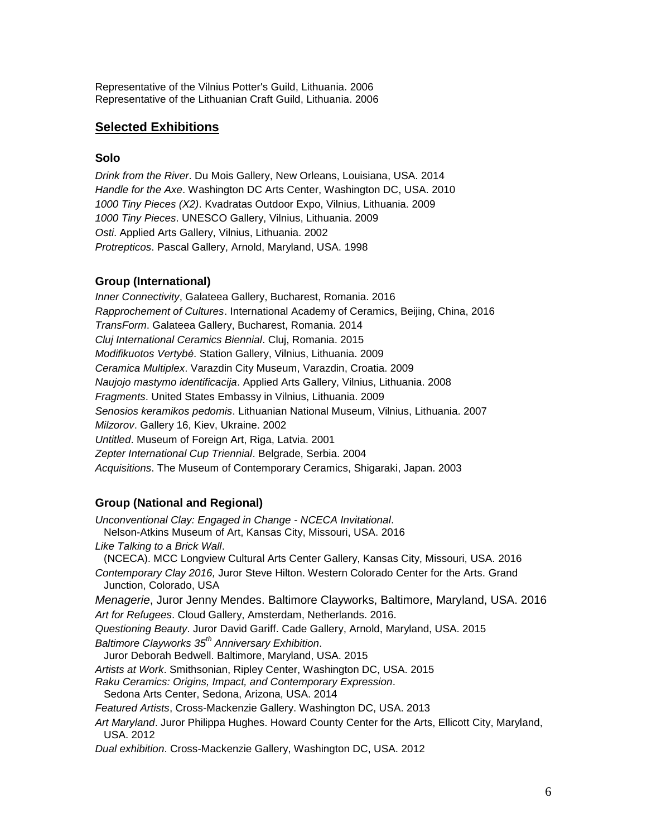Representative of the Vilnius Potter's Guild, Lithuania. 2006 Representative of the Lithuanian Craft Guild, Lithuania. 2006

#### **Selected Exhibitions**

#### **Solo**

*Drink from the River*. Du Mois Gallery, New Orleans, Louisiana, USA. 2014 *Handle for the Axe*. Washington DC Arts Center, Washington DC, USA. 2010 *1000 Tiny Pieces (X2)*. Kvadratas Outdoor Expo, Vilnius, Lithuania. 2009 *1000 Tiny Pieces*. UNESCO Gallery, Vilnius, Lithuania. 2009 *Osti*. Applied Arts Gallery, Vilnius, Lithuania. 2002 *Protrepticos*. Pascal Gallery, Arnold, Maryland, USA. 1998

#### **Group (International)**

*Inner Connectivity*, Galateea Gallery, Bucharest, Romania. 2016 *Rapprochement of Cultures*. International Academy of Ceramics, Beijing, China, 2016 *TransForm*. Galateea Gallery, Bucharest, Romania. 2014 *Cluj International Ceramics Biennial*. Cluj, Romania. 2015 *Modifikuotos Vertybė*. Station Gallery, Vilnius, Lithuania. 2009 *Ceramica Multiplex*. Varazdin City Museum, Varazdin, Croatia. 2009 *Naujojo mastymo identificacija*. Applied Arts Gallery, Vilnius, Lithuania. 2008 *Fragments*. United States Embassy in Vilnius, Lithuania. 2009 *Senosios keramikos pedomis*. Lithuanian National Museum, Vilnius, Lithuania. 2007 *Milzorov*. Gallery 16, Kiev, Ukraine. 2002 *Untitled*. Museum of Foreign Art, Riga, Latvia. 2001 *Zepter International Cup Triennial*. Belgrade, Serbia. 2004 *Acquisitions*. The Museum of Contemporary Ceramics, Shigaraki, Japan. 2003

#### **Group (National and Regional)**

*Unconventional Clay: Engaged in Change - NCECA Invitational*. Nelson-Atkins Museum of Art, Kansas City, Missouri, USA. 2016 *Like Talking to a Brick Wall*. (NCECA). MCC Longview Cultural Arts Center Gallery, Kansas City, Missouri, USA. 2016 *Contemporary Clay 2016,* Juror Steve Hilton. Western Colorado Center for the Arts. Grand Junction, Colorado, USA *Menagerie*, Juror Jenny Mendes. Baltimore Clayworks, Baltimore, Maryland, USA. 2016 *Art for Refugees*. Cloud Gallery, Amsterdam, Netherlands. 2016. *Questioning Beauty*. Juror David Gariff. Cade Gallery, Arnold, Maryland, USA. 2015 *Baltimore Clayworks 35th Anniversary Exhibition*. Juror Deborah Bedwell. Baltimore, Maryland, USA. 2015 *Artists at Work*. Smithsonian, Ripley Center, Washington DC, USA. 2015 *Raku Ceramics: Origins, Impact, and Contemporary Expression*. Sedona Arts Center, Sedona, Arizona, USA. 2014 *Featured Artists*, Cross-Mackenzie Gallery. Washington DC, USA. 2013 *Art Maryland*. Juror Philippa Hughes. Howard County Center for the Arts, Ellicott City, Maryland, USA. 2012 *Dual exhibition*. Cross-Mackenzie Gallery, Washington DC, USA. 2012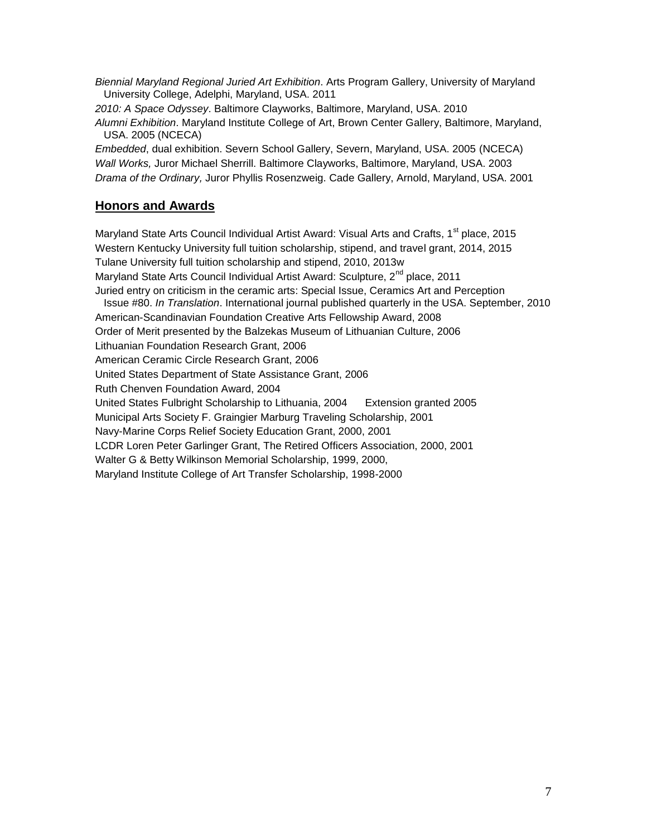*Biennial Maryland Regional Juried Art Exhibition*. Arts Program Gallery, University of Maryland University College, Adelphi, Maryland, USA. 2011

*2010: A Space Odyssey*. Baltimore Clayworks, Baltimore, Maryland, USA. 2010 *Alumni Exhibition*. Maryland Institute College of Art, Brown Center Gallery, Baltimore, Maryland, USA. 2005 (NCECA)

*Embedded*, dual exhibition. Severn School Gallery, Severn, Maryland, USA. 2005 (NCECA) *Wall Works,* Juror Michael Sherrill. Baltimore Clayworks, Baltimore, Maryland, USA. 2003 *Drama of the Ordinary,* Juror Phyllis Rosenzweig. Cade Gallery, Arnold, Maryland, USA. 2001

### **Honors and Awards**

Maryland State Arts Council Individual Artist Award: Visual Arts and Crafts, 1<sup>st</sup> place, 2015 Western Kentucky University full tuition scholarship, stipend, and travel grant, 2014, 2015 Tulane University full tuition scholarship and stipend, 2010, 2013w Maryland State Arts Council Individual Artist Award: Sculpture, 2<sup>nd</sup> place, 2011 Juried entry on criticism in the ceramic arts: Special Issue, Ceramics Art and Perception Issue #80. *In Translation*. International journal published quarterly in the USA. September, 2010 American-Scandinavian Foundation Creative Arts Fellowship Award, 2008 Order of Merit presented by the Balzekas Museum of Lithuanian Culture, 2006 Lithuanian Foundation Research Grant, 2006 American Ceramic Circle Research Grant, 2006 United States Department of State Assistance Grant, 2006 Ruth Chenven Foundation Award, 2004 United States Fulbright Scholarship to Lithuania, 2004 Extension granted 2005 Municipal Arts Society F. Graingier Marburg Traveling Scholarship, 2001 Navy-Marine Corps Relief Society Education Grant, 2000, 2001 LCDR Loren Peter Garlinger Grant, The Retired Officers Association, 2000, 2001 Walter G & Betty Wilkinson Memorial Scholarship, 1999, 2000, Maryland Institute College of Art Transfer Scholarship, 1998-2000